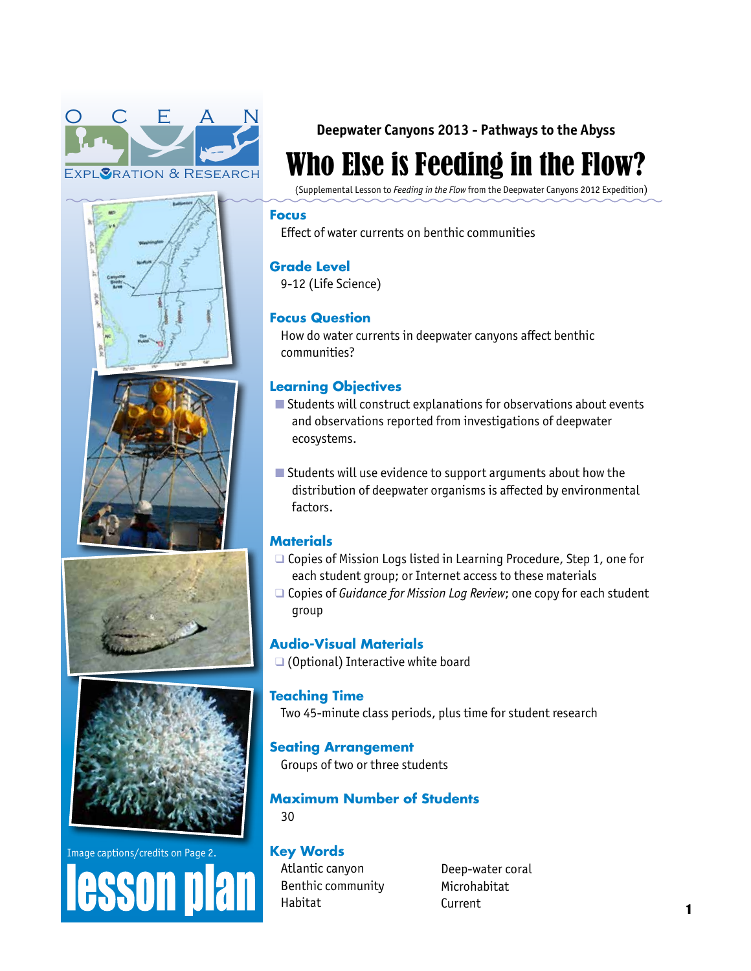











**Deepwater Canyons 2013 - Pathways to the Abyss** 

# Who Else is Feeding in the Flow?

(Supplemental Lesson to *Feeding in the Flow* from the Deepwater Canyons 2012 Expedition)

# **Focus**

Effect of water currents on benthic communities

# **Grade Level**

9-12 (Life Science)

# **Focus Question**

How do water currents in deepwater canyons affect benthic communities?

# **Learning Objectives**

- $\blacksquare$  Students will construct explanations for observations about events and observations reported from investigations of deepwater ecosystems.
- $\blacksquare$  Students will use evidence to support arguments about how the distribution of deepwater organisms is affected by environmental factors.

# **Materials**

- $\Box$  Copies of Mission Logs listed in Learning Procedure, Step 1, one for each student group; or Internet access to these materials
- □ Copies of *Guidance for Mission Log Review*; one copy for each student group

# **Audio-Visual Materials**

 $\Box$  (Optional) Interactive white board

# **Teaching Time**

Two 45-minute class periods, plus time for student research

# **Seating Arrangement**

Groups of two or three students

#### **Maximum Number of Students** 30

# **Key Words**

Atlantic canyon Benthic community Habitat

Deep-water coral Microhabitat Current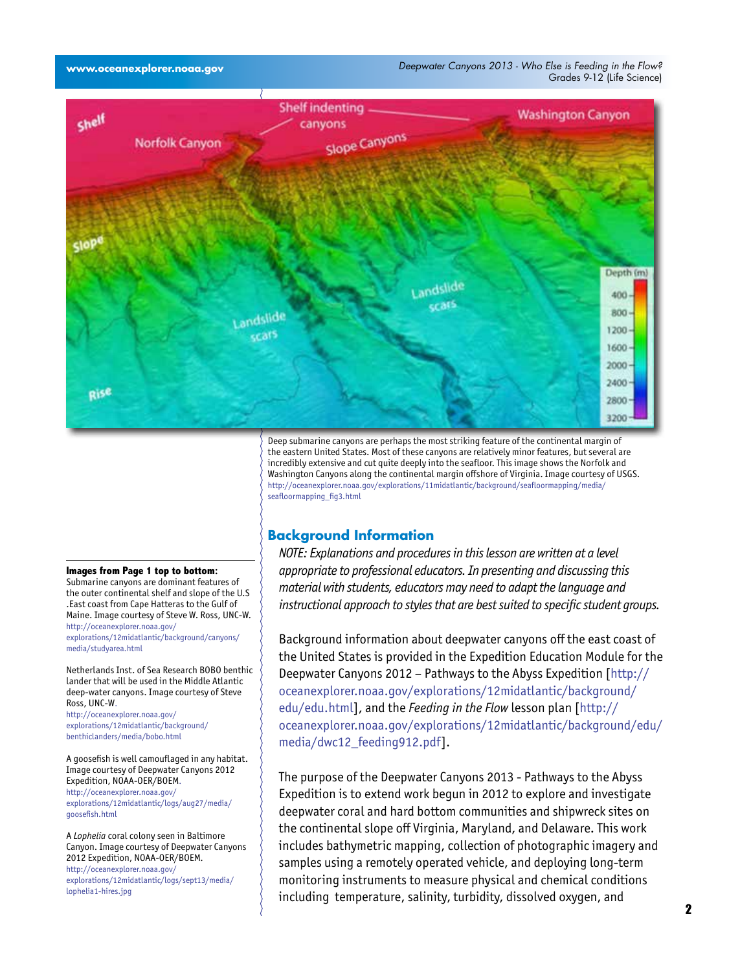

Deep submarine canyons are perhaps the most striking feature of the continental margin of the eastern United States. Most of these canyons are relatively minor features, but several are incredibly extensive and cut quite deeply into the seafloor. This image shows the Norfolk and Washington Canyons along the continental margin offshore of Virginia. Image courtesy of USGS. [http://oceanexplorer.noaa.gov/explorations/11midatlantic/background/seafloormapping/media/](http://oceanexplorer.noaa.gov/explorations/11midatlantic/background/seafloormapping/media/seafloormapping_fig3.html) [seafloormapping\\_fig3.html](http://oceanexplorer.noaa.gov/explorations/11midatlantic/background/seafloormapping/media/seafloormapping_fig3.html)

# **Background Information**

*NOTE: Explanations and procedures in this lesson are written at a level appropriate to professional educators. In presenting and discussing this material with students, educators may need to adapt the language and instructional approach to styles that are best suited to specific student groups.*

Background information about deepwater canyons off the east coast of the United States is provided in the Expedition Education Module for the Deepwater Canyons 2012 – Pathways to the Abyss Expedition [[http://](http://oceanexplorer.noaa.gov/explorations/12midatlantic/background/edu/edu.html) [oceanexplorer.noaa.gov/explorations/12midatlantic/background/](http://oceanexplorer.noaa.gov/explorations/12midatlantic/background/edu/edu.html) [edu/edu.html](http://oceanexplorer.noaa.gov/explorations/12midatlantic/background/edu/edu.html)], and the *Feeding in the Flow* lesson plan [[http://](http://oceanexplorer.noaa.gov/explorations/12midatlantic/background/edu/media/dwc12_feeding912.pdf) [oceanexplorer.noaa.gov/explorations/12midatlantic/background/edu/](http://oceanexplorer.noaa.gov/explorations/12midatlantic/background/edu/media/dwc12_feeding912.pdf) [media/dwc12\\_feeding912.pdf\]](http://oceanexplorer.noaa.gov/explorations/12midatlantic/background/edu/media/dwc12_feeding912.pdf).

The purpose of the Deepwater Canyons 2013 - Pathways to the Abyss Expedition is to extend work begun in 2012 to explore and investigate deepwater coral and hard bottom communities and shipwreck sites on the continental slope off Virginia, Maryland, and Delaware. This work includes bathymetric mapping, collection of photographic imagery and samples using a remotely operated vehicle, and deploying long-term monitoring instruments to measure physical and chemical conditions including temperature, salinity, turbidity, dissolved oxygen, and

#### **Images from Page 1 top to bottom:**

Submarine canyons are dominant features of the outer continental shelf and slope of the U.S .East coast from Cape Hatteras to the Gulf of Maine. Image courtesy of Steve W. Ross, UNC-W. [http://oceanexplorer.noaa.gov/](http://oceanexplorer.noaa.gov/explorations/12midatlantic/background/canyons/media/studyarea.html) [explorations/12midatlantic/background/canyons/](http://oceanexplorer.noaa.gov/explorations/12midatlantic/background/canyons/media/studyarea.html) [media/studyarea.html](http://oceanexplorer.noaa.gov/explorations/12midatlantic/background/canyons/media/studyarea.html)

Netherlands Inst. of Sea Research BOBO benthic lander that will be used in the Middle Atlantic deep-water canyons. Image courtesy of Steve Ross, UNC-W.

[http://oceanexplorer.noaa.gov/](http://oceanexplorer.noaa.gov/explorations/12midatlantic/background/benthiclanders/media/bobo.html) [explorations/12midatlantic/background/](http://oceanexplorer.noaa.gov/explorations/12midatlantic/background/benthiclanders/media/bobo.html) [benthiclanders/media/bobo.html](http://oceanexplorer.noaa.gov/explorations/12midatlantic/background/benthiclanders/media/bobo.html)

A goosefish is well camouflaged in any habitat. Image courtesy of Deepwater Canyons 2012 Expedition, NOAA-OER/BOEM. [http://oceanexplorer.noaa.gov/](http://oceanexplorer.noaa.gov/explorations/12midatlantic/logs/aug27/media/goosefish.html) [explorations/12midatlantic/logs/aug27/media/](http://oceanexplorer.noaa.gov/explorations/12midatlantic/logs/aug27/media/goosefish.html) [goosefish.html](http://oceanexplorer.noaa.gov/explorations/12midatlantic/logs/aug27/media/goosefish.html)

A *Lophelia* coral colony seen in Baltimore Canyon. Image courtesy of Deepwater Canyons 2012 Expedition, NOAA-OER/BOEM. [http://oceanexplorer.noaa.gov/](http://oceanexplorer.noaa.gov/explorations/12midatlantic/logs/sept13/media/lophelia1-hires.jpg) [explorations/12midatlantic/logs/sept13/media/](http://oceanexplorer.noaa.gov/explorations/12midatlantic/logs/sept13/media/lophelia1-hires.jpg) [lophelia1-hires.jpg](http://oceanexplorer.noaa.gov/explorations/12midatlantic/logs/sept13/media/lophelia1-hires.jpg)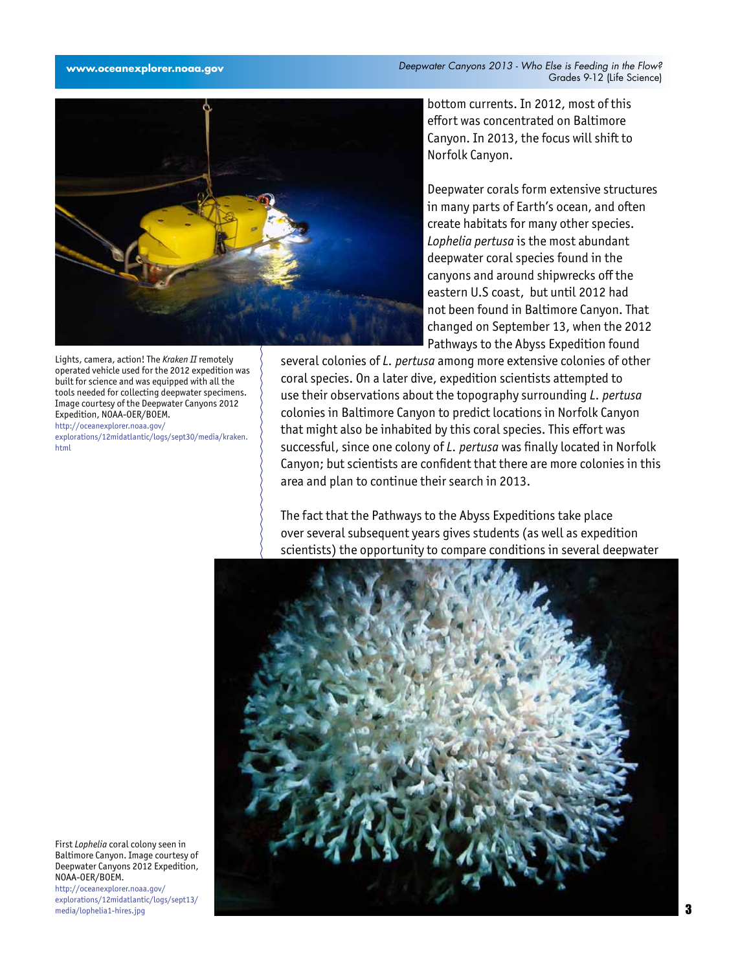

Lights, camera, action! The *Kraken II* remotely operated vehicle used for the 2012 expedition was built for science and was equipped with all the tools needed for collecting deepwater specimens. Image courtesy of the Deepwater Canyons 2012 Expedition, NOAA-OER/BOEM. [http://oceanexplorer.noaa.gov/](http://oceanexplorer.noaa.gov/explorations/12midatlantic/logs/sept30/media/kraken.html)

[explorations/12midatlantic/logs/sept30/media/kraken.](http://oceanexplorer.noaa.gov/explorations/12midatlantic/logs/sept30/media/kraken.html) [html](http://oceanexplorer.noaa.gov/explorations/12midatlantic/logs/sept30/media/kraken.html)

bottom currents. In 2012, most of this effort was concentrated on Baltimore Canyon. In 2013, the focus will shift to Norfolk Canyon.

Deepwater corals form extensive structures in many parts of Earth's ocean, and often create habitats for many other species. *Lophelia pertusa* is the most abundant deepwater coral species found in the canyons and around shipwrecks off the eastern U.S coast, but until 2012 had not been found in Baltimore Canyon. That changed on September 13, when the 2012 Pathways to the Abyss Expedition found

several colonies of *L. pertusa* among more extensive colonies of other coral species. On a later dive, expedition scientists attempted to use their observations about the topography surrounding *L. pertusa* colonies in Baltimore Canyon to predict locations in Norfolk Canyon that might also be inhabited by this coral species. This effort was successful, since one colony of *L. pertusa* was finally located in Norfolk Canyon; but scientists are confident that there are more colonies in this area and plan to continue their search in 2013.

The fact that the Pathways to the Abyss Expeditions take place over several subsequent years gives students (as well as expedition scientists) the opportunity to compare conditions in several deepwater



First *Lophelia* coral colony seen in Baltimore Canyon. Image courtesy of Deepwater Canyons 2012 Expedition, NOAA-OER/BOEM. [http://oceanexplorer.noaa.gov/](http://oceanexplorer.noaa.gov/explorations/12midatlantic/logs/sept13/media/lophelia1-hires.jpg)

[explorations/12midatlantic/logs/sept13/](http://oceanexplorer.noaa.gov/explorations/12midatlantic/logs/sept13/media/lophelia1-hires.jpg) [media/lophelia1-hires.jpg](http://oceanexplorer.noaa.gov/explorations/12midatlantic/logs/sept13/media/lophelia1-hires.jpg)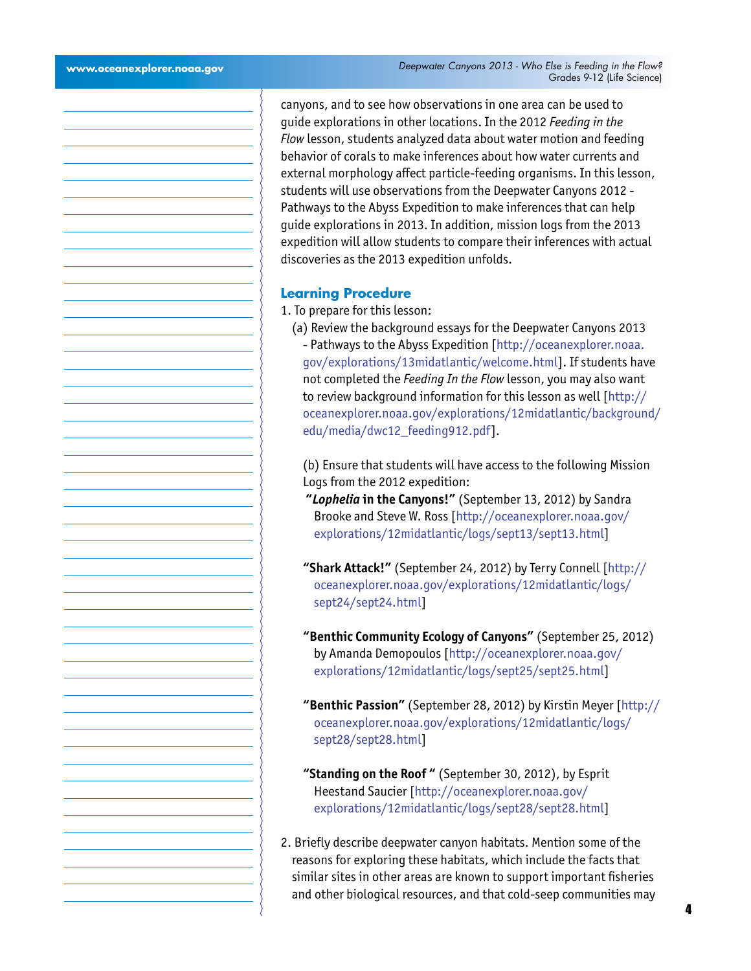canyons, and to see how observations in one area can be used to guide explorations in other locations. In the 2012 *Feeding in the Flow* lesson, students analyzed data about water motion and feeding behavior of corals to make inferences about how water currents and external morphology affect particle-feeding organisms. In this lesson, students will use observations from the Deepwater Canyons 2012 - Pathways to the Abyss Expedition to make inferences that can help guide explorations in 2013. In addition, mission logs from the 2013 expedition will allow students to compare their inferences with actual discoveries as the 2013 expedition unfolds.

#### **Learning Procedure**

- 1. To prepare for this lesson:
	- (a) Review the background essays for the Deepwater Canyons 2013 - Pathways to the Abyss Expedition [[http://oceanexplorer.noaa.](http://oceanexplorer.noaa.gov/explorations/13midatlantic/welcome.html) [gov/explorations/13midatlantic/welcome.html\]](http://oceanexplorer.noaa.gov/explorations/13midatlantic/welcome.html). If students have not completed the *Feeding In the Flow* lesson, you may also want to review background information for this lesson as well [[http://](http://oceanexplorer.noaa.gov/explorations/12midatlantic/background/edu/media/dwc12_feeding912.pdf) [oceanexplorer.noaa.gov/explorations/12midatlantic/background/](http://oceanexplorer.noaa.gov/explorations/12midatlantic/background/edu/media/dwc12_feeding912.pdf) [edu/media/dwc12\\_feeding912.pdf](http://oceanexplorer.noaa.gov/explorations/12midatlantic/background/edu/media/dwc12_feeding912.pdf)].

(b) Ensure that students will have access to the following Mission Logs from the 2012 expedition:

- **"***Lophelia* **in the Canyons!"** (September 13, 2012) by Sandra Brooke and Steve W. Ross [[http://oceanexplorer.noaa.gov/](http://oceanexplorer.noaa.gov/explorations/12midatlantic/logs/sept13/sept13.html) [explorations/12midatlantic/logs/sept13/sept13.html\]](http://oceanexplorer.noaa.gov/explorations/12midatlantic/logs/sept13/sept13.html)
- **"Shark Attack!"** (September 24, 2012) by Terry Connell [[http://](http://oceanexplorer.noaa.gov/explorations/12midatlantic/logs/sept24/sept24.html) [oceanexplorer.noaa.gov/explorations/12midatlantic/logs/](http://oceanexplorer.noaa.gov/explorations/12midatlantic/logs/sept24/sept24.html) [sept24/sept24.html\]](http://oceanexplorer.noaa.gov/explorations/12midatlantic/logs/sept24/sept24.html)
- **"Benthic Community Ecology of Canyons"** (September 25, 2012) by Amanda Demopoulos [\[http://oceanexplorer.noaa.gov/](http://oceanexplorer.noaa.gov/explorations/12midatlantic/logs/sept25/sept25.html) [explorations/12midatlantic/logs/sept25/sept25.html\]](http://oceanexplorer.noaa.gov/explorations/12midatlantic/logs/sept25/sept25.html)
- **"Benthic Passion"** (September 28, 2012) by Kirstin Meyer [[http://](http://oceanexplorer.noaa.gov/explorations/12midatlantic/logs/sept28/sept28.html) [oceanexplorer.noaa.gov/explorations/12midatlantic/logs/](http://oceanexplorer.noaa.gov/explorations/12midatlantic/logs/sept28/sept28.html) [sept28/sept28.html\]](http://oceanexplorer.noaa.gov/explorations/12midatlantic/logs/sept28/sept28.html)
- **"Standing on the Roof "** (September 30, 2012), by Esprit Heestand Saucier [\[http://oceanexplorer.noaa.gov/](http://oceanexplorer.noaa.gov/explorations/12midatlantic/logs/sept28/sept28.html) [explorations/12midatlantic/logs/sept28/sept28.html\]](http://oceanexplorer.noaa.gov/explorations/12midatlantic/logs/sept28/sept28.html)
- 2. Briefly describe deepwater canyon habitats. Mention some of the reasons for exploring these habitats, which include the facts that similar sites in other areas are known to support important fisheries and other biological resources, and that cold-seep communities may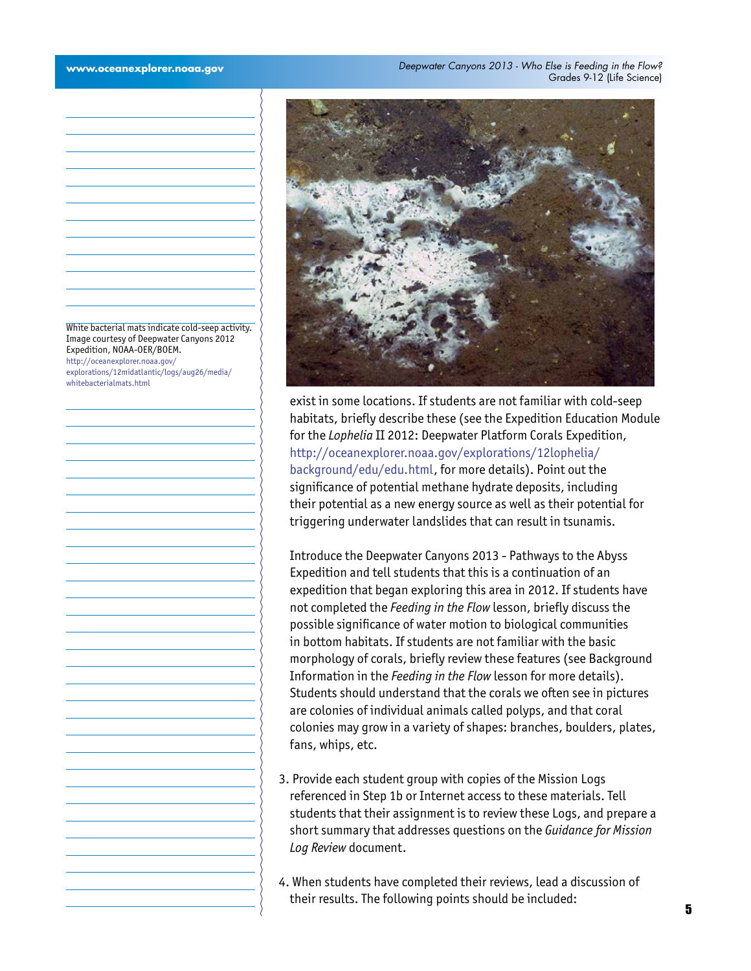White bacterial mats indicate cold-seep activity. Image courtesy of Deepwater Canyons 2012 Expedition, NOAA-OER/BOEM. [http://oceanexplorer.noaa.gov/](http://oceanexplorer.noaa.gov/explorations/12midatlantic/logs/aug26/media/whitebacterialmats.html) [explorations/12midatlantic/logs/aug26/media/](http://oceanexplorer.noaa.gov/explorations/12midatlantic/logs/aug26/media/whitebacterialmats.html) [whitebacterialmats.html](http://oceanexplorer.noaa.gov/explorations/12midatlantic/logs/aug26/media/whitebacterialmats.html)



exist in some locations. If students are not familiar with cold-seep habitats, briefly describe these (see the Expedition Education Module for the *Lophelia* II 2012: Deepwater Platform Corals Expedition, [http://oceanexplorer.noaa.gov/explorations/12lophelia/](http://oceanexplorer.noaa.gov/explorations/12lophelia/background/edu/edu.html) [background/edu/edu.html,](http://oceanexplorer.noaa.gov/explorations/12lophelia/background/edu/edu.html) for more details). Point out the significance of potential methane hydrate deposits, including their potential as a new energy source as well as their potential for triggering underwater landslides that can result in tsunamis.

Introduce the Deepwater Canyons 2013 - Pathways to the Abyss Expedition and tell students that this is a continuation of an expedition that began exploring this area in 2012. If students have not completed the *Feeding in the Flow* lesson, briefly discuss the possible significance of water motion to biological communities in bottom habitats. If students are not familiar with the basic morphology of corals, briefly review these features (see Background Information in the *Feeding in the Flow* lesson for more details). Students should understand that the corals we often see in pictures are colonies of individual animals called polyps, and that coral colonies may grow in a variety of shapes: branches, boulders, plates, fans, whips, etc.

- 3. Provide each student group with copies of the Mission Logs referenced in Step 1b or Internet access to these materials. Tell students that their assignment is to review these Logs, and prepare a short summary that addresses questions on the *Guidance for Mission Log Review* document.
- 4. When students have completed their reviews, lead a discussion of their results. The following points should be included: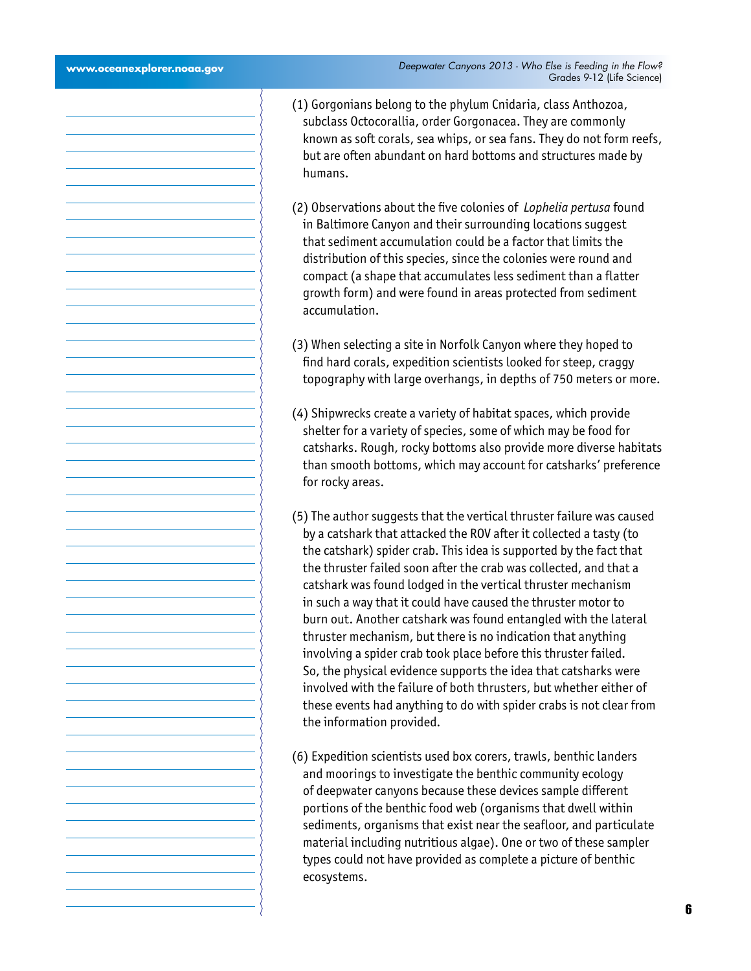| www.oceanexplorer.noaa.gov | Deepwater Canyons 2013 - Who Else is Feeding in the Flow?<br>Grades 9-12 (Life Science)                                                                                                                                                                                                                                                                                                                                                                                                                                                                                                                                                                                                                                                                                                                                                                                    |
|----------------------------|----------------------------------------------------------------------------------------------------------------------------------------------------------------------------------------------------------------------------------------------------------------------------------------------------------------------------------------------------------------------------------------------------------------------------------------------------------------------------------------------------------------------------------------------------------------------------------------------------------------------------------------------------------------------------------------------------------------------------------------------------------------------------------------------------------------------------------------------------------------------------|
|                            | (1) Gorgonians belong to the phylum Cnidaria, class Anthozoa,<br>subclass Octocorallia, order Gorgonacea. They are commonly<br>known as soft corals, sea whips, or sea fans. They do not form reefs,<br>but are often abundant on hard bottoms and structures made by<br>humans.                                                                                                                                                                                                                                                                                                                                                                                                                                                                                                                                                                                           |
|                            | (2) Observations about the five colonies of Lophelia pertusa found<br>in Baltimore Canyon and their surrounding locations suggest<br>that sediment accumulation could be a factor that limits the<br>distribution of this species, since the colonies were round and<br>compact (a shape that accumulates less sediment than a flatter<br>growth form) and were found in areas protected from sediment<br>accumulation.                                                                                                                                                                                                                                                                                                                                                                                                                                                    |
|                            | (3) When selecting a site in Norfolk Canyon where they hoped to<br>find hard corals, expedition scientists looked for steep, craggy<br>topography with large overhangs, in depths of 750 meters or more.                                                                                                                                                                                                                                                                                                                                                                                                                                                                                                                                                                                                                                                                   |
|                            | (4) Shipwrecks create a variety of habitat spaces, which provide<br>shelter for a variety of species, some of which may be food for<br>catsharks. Rough, rocky bottoms also provide more diverse habitats<br>than smooth bottoms, which may account for catsharks' preference<br>for rocky areas.                                                                                                                                                                                                                                                                                                                                                                                                                                                                                                                                                                          |
|                            | (5) The author suggests that the vertical thruster failure was caused<br>by a catshark that attacked the ROV after it collected a tasty (to<br>the catshark) spider crab. This idea is supported by the fact that<br>the thruster failed soon after the crab was collected, and that a<br>catshark was found lodged in the vertical thruster mechanism<br>in such a way that it could have caused the thruster motor to<br>burn out. Another catshark was found entangled with the lateral<br>thruster mechanism, but there is no indication that anything<br>involving a spider crab took place before this thruster failed.<br>So, the physical evidence supports the idea that catsharks were<br>involved with the failure of both thrusters, but whether either of<br>these events had anything to do with spider crabs is not clear from<br>the information provided. |
|                            | (6) Expedition scientists used box corers, trawls, benthic landers<br>and moorings to investigate the benthic community ecology<br>of deepwater canyons because these devices sample different<br>portions of the benthic food web (organisms that dwell within<br>sediments, organisms that exist near the seafloor, and particulate<br>material including nutritious algae). One or two of these sampler<br>types could not have provided as complete a picture of benthic<br>ecosystems.                                                                                                                                                                                                                                                                                                                                                                                |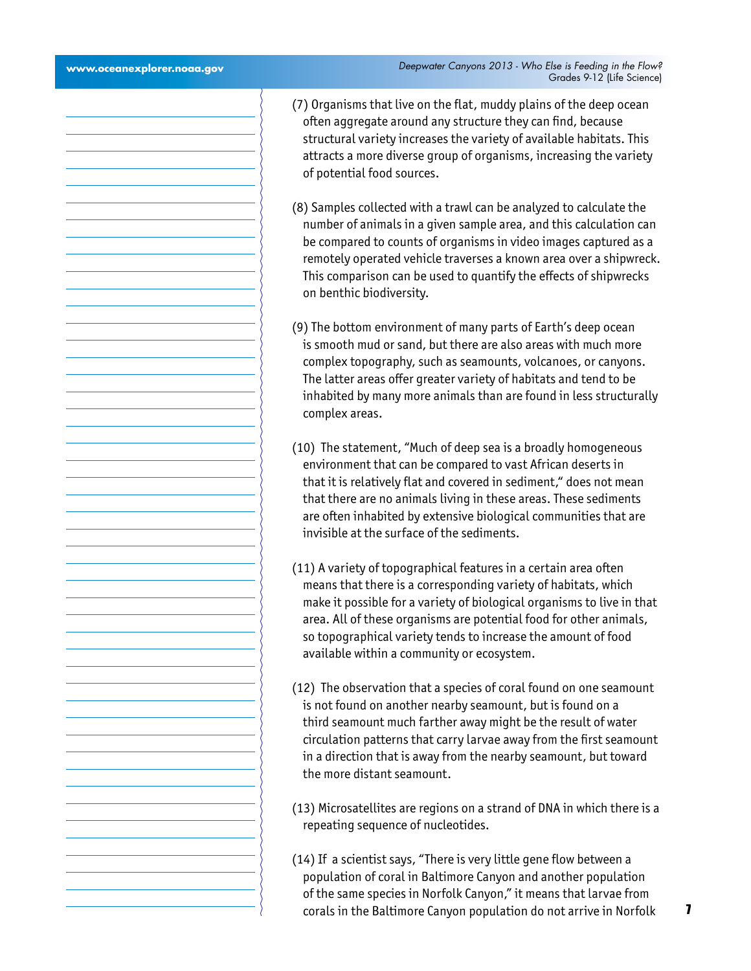- (7) Organisms that live on the flat, muddy plains of the deep ocean often aggregate around any structure they can find, because structural variety increases the variety of available habitats. This attracts a more diverse group of organisms, increasing the variety of potential food sources.
- (8) Samples collected with a trawl can be analyzed to calculate the number of animals in a given sample area, and this calculation can be compared to counts of organisms in video images captured as a remotely operated vehicle traverses a known area over a shipwreck. This comparison can be used to quantify the effects of shipwrecks on benthic biodiversity.
- (9) The bottom environment of many parts of Earth's deep ocean is smooth mud or sand, but there are also areas with much more complex topography, such as seamounts, volcanoes, or canyons. The latter areas offer greater variety of habitats and tend to be inhabited by many more animals than are found in less structurally complex areas.
- (10) The statement, "Much of deep sea is a broadly homogeneous environment that can be compared to vast African deserts in that it is relatively flat and covered in sediment," does not mean that there are no animals living in these areas. These sediments are often inhabited by extensive biological communities that are invisible at the surface of the sediments.
- (11) A variety of topographical features in a certain area often means that there is a corresponding variety of habitats, which make it possible for a variety of biological organisms to live in that area. All of these organisms are potential food for other animals, so topographical variety tends to increase the amount of food available within a community or ecosystem.
- (12) The observation that a species of coral found on one seamount is not found on another nearby seamount, but is found on a third seamount much farther away might be the result of water circulation patterns that carry larvae away from the first seamount in a direction that is away from the nearby seamount, but toward the more distant seamount.
- (13) Microsatellites are regions on a strand of DNA in which there is a repeating sequence of nucleotides.
- (14) If a scientist says, "There is very little gene flow between a population of coral in Baltimore Canyon and another population of the same species in Norfolk Canyon," it means that larvae from corals in the Baltimore Canyon population do not arrive in Norfolk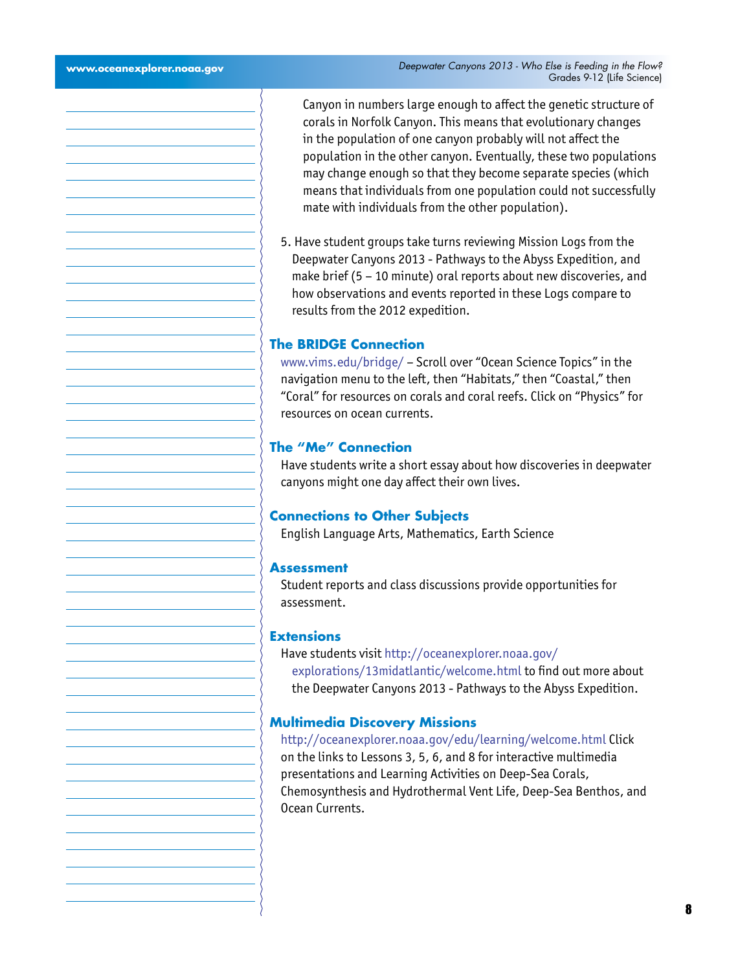Canyon in numbers large enough to affect the genetic structure of corals in Norfolk Canyon. This means that evolutionary changes in the population of one canyon probably will not affect the population in the other canyon. Eventually, these two populations may change enough so that they become separate species (which means that individuals from one population could not successfully mate with individuals from the other population).

5. Have student groups take turns reviewing Mission Logs from the Deepwater Canyons 2013 - Pathways to the Abyss Expedition, and make brief (5 – 10 minute) oral reports about new discoveries, and how observations and events reported in these Logs compare to results from the 2012 expedition.

# **The BRIDGE Connection**

<www.vims.edu/bridge/> – Scroll over "Ocean Science Topics" in the navigation menu to the left, then "Habitats," then "Coastal," then "Coral" for resources on corals and coral reefs. Click on "Physics" for resources on ocean currents.

#### **The "Me" Connection**

Have students write a short essay about how discoveries in deepwater canyons might one day affect their own lives.

#### **Connections to Other Subjects**

English Language Arts, Mathematics, Earth Science

#### **Assessment**

Student reports and class discussions provide opportunities for assessment.

#### **Extensions**

Have students visit [http://oceanexplorer.noaa.gov/](http://oceanexplorer.noaa.gov/explorations/12midatlantic/welcome.html) [explorations/13midatlantic/welcome.html](http://oceanexplorer.noaa.gov/explorations/12midatlantic/welcome.html) to find out more about the Deepwater Canyons 2013 - Pathways to the Abyss Expedition.

#### **Multimedia Discovery Missions**

<http://oceanexplorer.noaa.gov/edu/learning/welcome.html> Click on the links to Lessons 3, 5, 6, and 8 for interactive multimedia presentations and Learning Activities on Deep-Sea Corals, Chemosynthesis and Hydrothermal Vent Life, Deep-Sea Benthos, and Ocean Currents.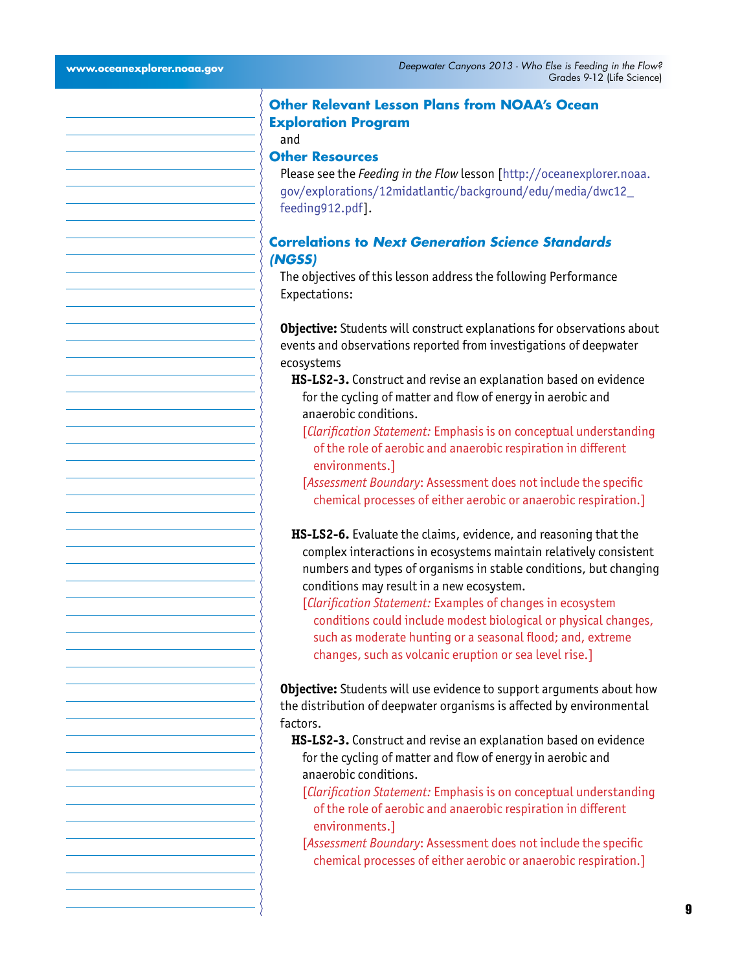# **Other Relevant Lesson Plans from NOAA's Ocean Exploration Program**

# and

# **Other Resources**

Please see the *Feeding in the Flow* lesson [[http://oceanexplorer.noaa.](http://oceanexplorer.noaa.gov/explorations/12midatlantic/background/edu/media/dwc12_feeding912.pdf) [gov/explorations/12midatlantic/background/edu/media/dwc12\\_](http://oceanexplorer.noaa.gov/explorations/12midatlantic/background/edu/media/dwc12_feeding912.pdf) [feeding912.pdf](http://oceanexplorer.noaa.gov/explorations/12midatlantic/background/edu/media/dwc12_feeding912.pdf)].

# **Correlations to** *Next Generation Science Standards (NGSS)*

The objectives of this lesson address the following Performance Expectations:

**Objective:** Students will construct explanations for observations about events and observations reported from investigations of deepwater ecosystems

- **HS-LS2-3.** Construct and revise an explanation based on evidence for the cycling of matter and flow of energy in aerobic and anaerobic conditions.
	- [*Clarification Statement:* Emphasis is on conceptual understanding of the role of aerobic and anaerobic respiration in different environments.]

[*Assessment Boundary*: Assessment does not include the specific chemical processes of either aerobic or anaerobic respiration.]

**HS-LS2-6.** Evaluate the claims, evidence, and reasoning that the complex interactions in ecosystems maintain relatively consistent numbers and types of organisms in stable conditions, but changing conditions may result in a new ecosystem.

[*Clarification Statement:* Examples of changes in ecosystem conditions could include modest biological or physical changes, such as moderate hunting or a seasonal flood; and, extreme changes, such as volcanic eruption or sea level rise.]

**Objective:** Students will use evidence to support arguments about how the distribution of deepwater organisms is affected by environmental factors.

**HS-LS2-3.** Construct and revise an explanation based on evidence for the cycling of matter and flow of energy in aerobic and anaerobic conditions.

- [*Clarification Statement:* Emphasis is on conceptual understanding of the role of aerobic and anaerobic respiration in different environments.]
- [*Assessment Boundary*: Assessment does not include the specific chemical processes of either aerobic or anaerobic respiration.]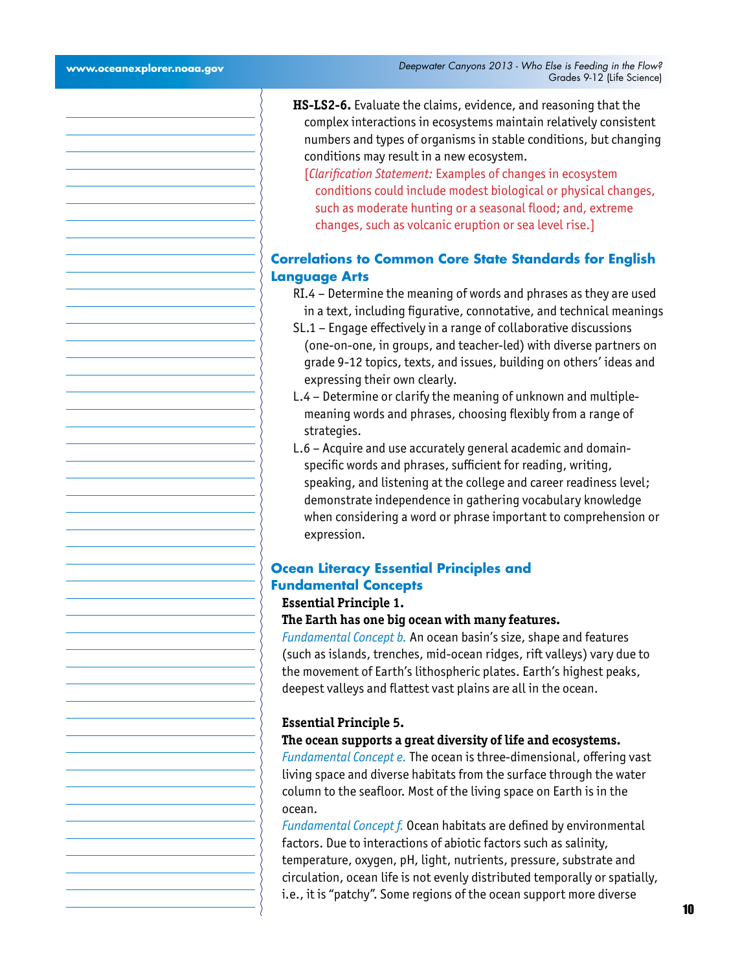- **HS-LS2-6.** Evaluate the claims, evidence, and reasoning that the complex interactions in ecosystems maintain relatively consistent numbers and types of organisms in stable conditions, but changing conditions may result in a new ecosystem.
	- [*Clarification Statement:* Examples of changes in ecosystem conditions could include modest biological or physical changes, such as moderate hunting or a seasonal flood; and, extreme changes, such as volcanic eruption or sea level rise.]

# **Correlations to Common Core State Standards for English Language Arts**

- RI.4 Determine the meaning of words and phrases as they are used in a text, including figurative, connotative, and technical meanings
- SL.1 Engage effectively in a range of collaborative discussions (one-on-one, in groups, and teacher-led) with diverse partners on grade 9-12 topics, texts, and issues, building on others' ideas and expressing their own clearly.
- L.4 Determine or clarify the meaning of unknown and multiplemeaning words and phrases, choosing flexibly from a range of strategies.
- L.6 Acquire and use accurately general academic and domainspecific words and phrases, sufficient for reading, writing, speaking, and listening at the college and career readiness level; demonstrate independence in gathering vocabulary knowledge when considering a word or phrase important to comprehension or expression.

### **Ocean Literacy Essential Principles and Fundamental Concepts Essential Principle 1.**

#### **The Earth has one big ocean with many features.**

*Fundamental Concept b.* An ocean basin's size, shape and features (such as islands, trenches, mid-ocean ridges, rift valleys) vary due to the movement of Earth's lithospheric plates. Earth's highest peaks, deepest valleys and flattest vast plains are all in the ocean.

#### **Essential Principle 5.**

#### **The ocean supports a great diversity of life and ecosystems.**

*Fundamental Concept e.* The ocean is three-dimensional, offering vast living space and diverse habitats from the surface through the water column to the seafloor. Most of the living space on Earth is in the ocean.

*Fundamental Concept f.* Ocean habitats are defined by environmental factors. Due to interactions of abiotic factors such as salinity, temperature, oxygen, pH, light, nutrients, pressure, substrate and circulation, ocean life is not evenly distributed temporally or spatially, i.e., it is "patchy". Some regions of the ocean support more diverse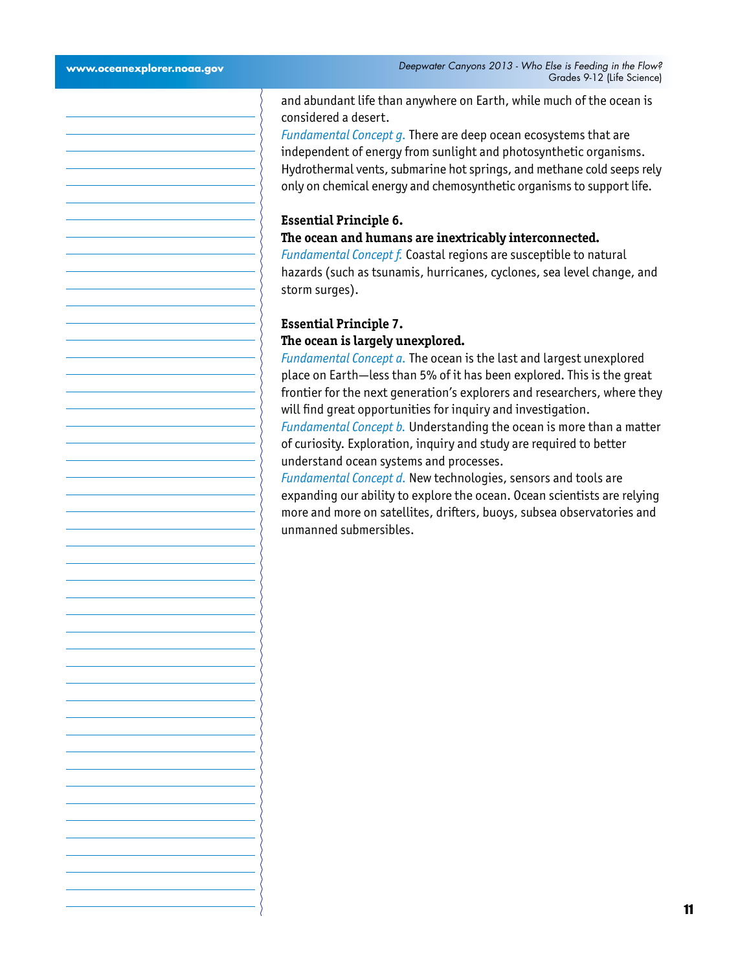and abundant life than anywhere on Earth, while much of the ocean is considered a desert.

*Fundamental Concept g.* There are deep ocean ecosystems that are independent of energy from sunlight and photosynthetic organisms. Hydrothermal vents, submarine hot springs, and methane cold seeps rely only on chemical energy and chemosynthetic organisms to support life.

#### **Essential Principle 6.**

#### **The ocean and humans are inextricably interconnected.**

*Fundamental Concept f.* Coastal regions are susceptible to natural hazards (such as tsunamis, hurricanes, cyclones, sea level change, and storm surges).

### **Essential Principle 7.**

#### **The ocean is largely unexplored.**

*Fundamental Concept a.* The ocean is the last and largest unexplored place on Earth—less than 5% of it has been explored. This is the great frontier for the next generation's explorers and researchers, where they will find great opportunities for inquiry and investigation. *Fundamental Concept b.* Understanding the ocean is more than a matter of curiosity. Exploration, inquiry and study are required to better

understand ocean systems and processes. *Fundamental Concept d.* New technologies, sensors and tools are expanding our ability to explore the ocean. Ocean scientists are relying more and more on satellites, drifters, buoys, subsea observatories and unmanned submersibles.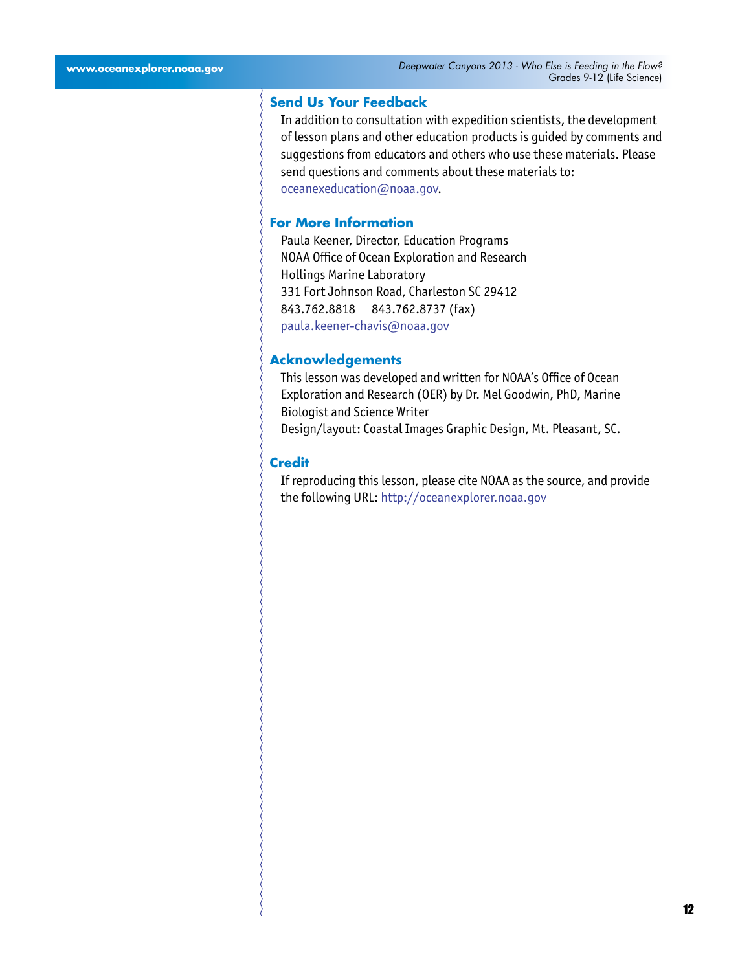#### **Send Us Your Feedback**

In addition to consultation with expedition scientists, the development of lesson plans and other education products is guided by comments and suggestions from educators and others who use these materials. Please send questions and comments about these materials to: [oceanexeducation@noaa.gov](mailto:oceanexeducation%40noaa.gov?subject=Feedback).

#### **For More Information**

Paula Keener, Director, Education Programs NOAA Office of Ocean Exploration and Research Hollings Marine Laboratory 331 Fort Johnson Road, Charleston SC 29412 843.762.8818 843.762.8737 (fax) [paula.keener-chavis@noaa.gov](mailto:paula.keener-chavis%40noaa.gov?subject=For%20More%20Information)

#### **Acknowledgements**

This lesson was developed and written for NOAA's Office of Ocean Exploration and Research (OER) by Dr. Mel Goodwin, PhD, Marine Biologist and Science Writer Design/layout: Coastal Images Graphic Design, Mt. Pleasant, SC.

#### **Credit**

If reproducing this lesson, please cite NOAA as the source, and provide the following URL: <http://oceanexplorer.noaa.gov>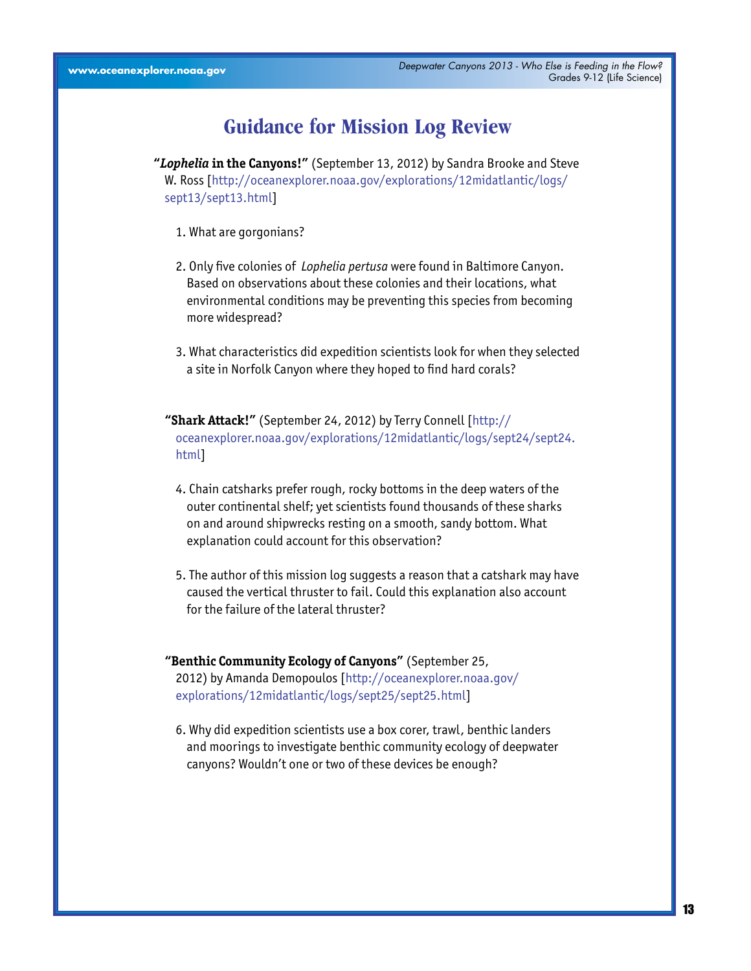# **Guidance for Mission Log Review**

**"***Lophelia* **in the Canyons!"** (September 13, 2012) by Sandra Brooke and Steve W. Ross [[http://oceanexplorer.noaa.gov/explorations/12midatlantic/logs/](http://oceanexplorer.noaa.gov/explorations/12midatlantic/logs/sept13/sept13.html) [sept13/sept13.html\]](http://oceanexplorer.noaa.gov/explorations/12midatlantic/logs/sept13/sept13.html)

- 1. What are gorgonians?
- 2. Only five colonies of *Lophelia pertusa* were found in Baltimore Canyon. Based on observations about these colonies and their locations, what environmental conditions may be preventing this species from becoming more widespread?
- 3. What characteristics did expedition scientists look for when they selected a site in Norfolk Canyon where they hoped to find hard corals?

**"Shark Attack!"** (September 24, 2012) by Terry Connell [\[http://](http://oceanexplorer.noaa.gov/explorations/12midatlantic/logs/sept24/sept24.html) [oceanexplorer.noaa.gov/explorations/12midatlantic/logs/sept24/sept24.](http://oceanexplorer.noaa.gov/explorations/12midatlantic/logs/sept24/sept24.html) [html\]](http://oceanexplorer.noaa.gov/explorations/12midatlantic/logs/sept24/sept24.html)

- 4. Chain catsharks prefer rough, rocky bottoms in the deep waters of the outer continental shelf; yet scientists found thousands of these sharks on and around shipwrecks resting on a smooth, sandy bottom. What explanation could account for this observation?
- 5. The author of this mission log suggests a reason that a catshark may have caused the vertical thruster to fail. Could this explanation also account for the failure of the lateral thruster?

# **"Benthic Community Ecology of Canyons"** (September 25, 2012) by Amanda Demopoulos [[http://oceanexplorer.noaa.gov/](http://oceanexplorer.noaa.gov/explorations/12midatlantic/logs/sept25/sept25.html) [explorations/12midatlantic/logs/sept25/sept25.html\]](http://oceanexplorer.noaa.gov/explorations/12midatlantic/logs/sept25/sept25.html)

6. Why did expedition scientists use a box corer, trawl, benthic landers and moorings to investigate benthic community ecology of deepwater canyons? Wouldn't one or two of these devices be enough?